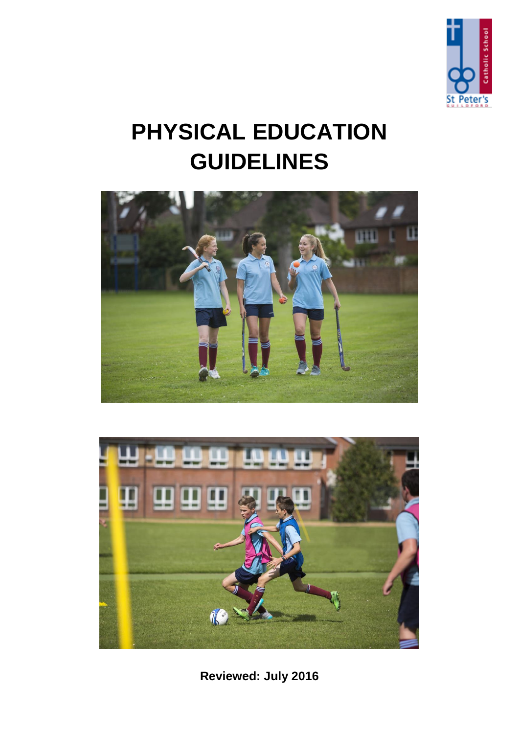

# **PHYSICAL EDUCATION GUIDELINES**





**Reviewed: July 2016**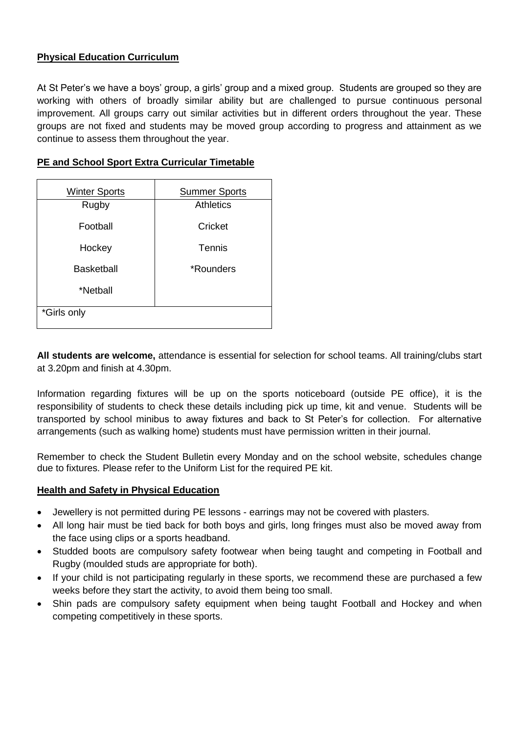# **Physical Education Curriculum**

At St Peter's we have a boys' group, a girls' group and a mixed group. Students are grouped so they are working with others of broadly similar ability but are challenged to pursue continuous personal improvement. All groups carry out similar activities but in different orders throughout the year. These groups are not fixed and students may be moved group according to progress and attainment as we continue to assess them throughout the year.

| <b>Winter Sports</b> | <b>Summer Sports</b> |
|----------------------|----------------------|
| Rugby                | <b>Athletics</b>     |
| Football             | Cricket              |
| Hockey               | Tennis               |
| Basketball           | *Rounders            |
| *Netball             |                      |
| *Girls only          |                      |

## **PE and School Sport Extra Curricular Timetable**

**All students are welcome,** attendance is essential for selection for school teams. All training/clubs start at 3.20pm and finish at 4.30pm.

Information regarding fixtures will be up on the sports noticeboard (outside PE office), it is the responsibility of students to check these details including pick up time, kit and venue. Students will be transported by school minibus to away fixtures and back to St Peter's for collection. For alternative arrangements (such as walking home) students must have permission written in their journal.

Remember to check the Student Bulletin every Monday and on the school website, schedules change due to fixtures. Please refer to the Uniform List for the required PE kit.

#### **Health and Safety in Physical Education**

- Jewellery is not permitted during PE lessons earrings may not be covered with plasters.
- All long hair must be tied back for both boys and girls, long fringes must also be moved away from the face using clips or a sports headband.
- Studded boots are compulsory safety footwear when being taught and competing in Football and Rugby (moulded studs are appropriate for both).
- If your child is not participating regularly in these sports, we recommend these are purchased a few weeks before they start the activity, to avoid them being too small.
- Shin pads are compulsory safety equipment when being taught Football and Hockey and when competing competitively in these sports.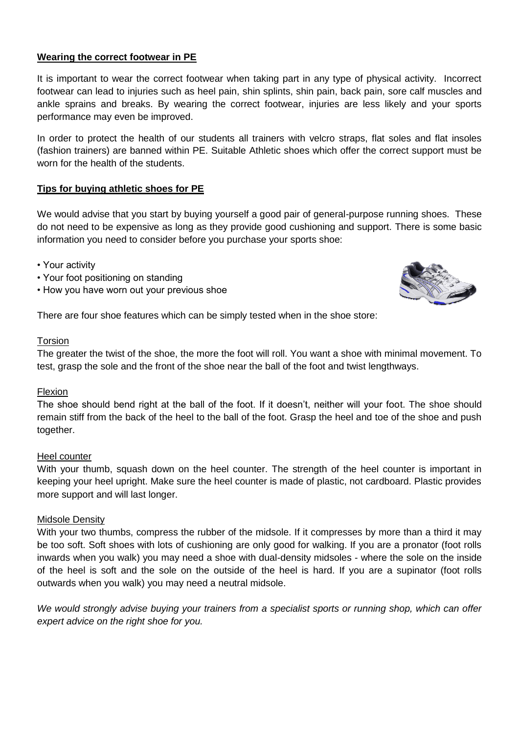# **Wearing the correct footwear in PE**

It is important to wear the correct footwear when taking part in any type of physical activity. Incorrect footwear can lead to injuries such as heel pain, shin splints, shin pain, back pain, sore calf muscles and ankle sprains and breaks. By wearing the correct footwear, injuries are less likely and your sports performance may even be improved.

In order to protect the health of our students all trainers with velcro straps, flat soles and flat insoles (fashion trainers) are banned within PE. Suitable Athletic shoes which offer the correct support must be worn for the health of the students.

## **Tips for buying athletic shoes for PE**

We would advise that you start by buying yourself a good pair of general-purpose running shoes. These do not need to be expensive as long as they provide good cushioning and support. There is some basic information you need to consider before you purchase your sports shoe:

- Your activity
- Your foot positioning on standing
- How you have worn out your previous shoe



There are four shoe features which can be simply tested when in the shoe store:

#### Torsion

The greater the twist of the shoe, the more the foot will roll. You want a shoe with minimal movement. To test, grasp the sole and the front of the shoe near the ball of the foot and twist lengthways.

## Flexion

The shoe should bend right at the ball of the foot. If it doesn't, neither will your foot. The shoe should remain stiff from the back of the heel to the ball of the foot. Grasp the heel and toe of the shoe and push together.

## Heel counter

With your thumb, squash down on the heel counter. The strength of the heel counter is important in keeping your heel upright. Make sure the heel counter is made of plastic, not cardboard. Plastic provides more support and will last longer.

#### Midsole Density

With your two thumbs, compress the rubber of the midsole. If it compresses by more than a third it may be too soft. Soft shoes with lots of cushioning are only good for walking. If you are a pronator (foot rolls inwards when you walk) you may need a shoe with dual-density midsoles - where the sole on the inside of the heel is soft and the sole on the outside of the heel is hard. If you are a supinator (foot rolls outwards when you walk) you may need a neutral midsole.

*We would strongly advise buying your trainers from a specialist sports or running shop, which can offer expert advice on the right shoe for you.*